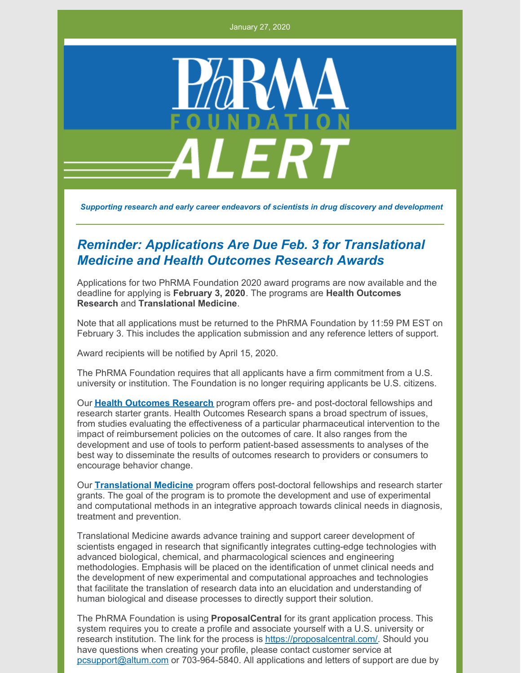January 27, 2020



*Supporting research and early career endeavors of scientists in drug discovery and development*

## *Reminder: Applications Are Due Feb. 3 for Translational Medicine and Health Outcomes Research Awards*

Applications for two PhRMA Foundation 2020 award programs are now available and the deadline for applying is **February 3, 2020**. The programs are **Health Outcomes Research** and **Translational Medicine**.

Note that all applications must be returned to the PhRMA Foundation by 11:59 PM EST on February 3. This includes the application submission and any reference letters of support.

Award recipients will be notified by April 15, 2020.

The PhRMA Foundation requires that all applicants have a firm commitment from a U.S. university or institution. The Foundation is no longer requiring applicants be U.S. citizens.

Our **Health [Outcomes](http://www.phrmafoundation.org/wp-content/uploads/2019/12/Health-Outcomes-Research-2020-Brochure.pdf) Research** program offers pre- and post-doctoral fellowships and research starter grants. Health Outcomes Research spans a broad spectrum of issues, from studies evaluating the effectiveness of a particular pharmaceutical intervention to the impact of reimbursement policies on the outcomes of care. It also ranges from the development and use of tools to perform patient-based assessments to analyses of the best way to disseminate the results of outcomes research to providers or consumers to encourage behavior change.

Our **[Translational](http://www.phrmafoundation.org/wp-content/uploads/2019/12/Translational-Medicine-2020-Brochure.pdf) Medicine** program offers post-doctoral fellowships and research starter grants. The goal of the program is to promote the development and use of experimental and computational methods in an integrative approach towards clinical needs in diagnosis, treatment and prevention.

Translational Medicine awards advance training and support career development of scientists engaged in research that significantly integrates cutting-edge technologies with advanced biological, chemical, and pharmacological sciences and engineering methodologies. Emphasis will be placed on the identification of unmet clinical needs and the development of new experimental and computational approaches and technologies that facilitate the translation of research data into an elucidation and understanding of human biological and disease processes to directly support their solution.

The PhRMA Foundation is using **ProposalCentral** for its grant application process. This system requires you to create a profile and associate yourself with a U.S. university or research institution. The link for the process is <https://proposalcentral.com/>. Should you have questions when creating your profile, please contact customer service at [pcsupport@altum.com](mailto:pcsupport@altum.com) or 703-964-5840. All applications and letters of support are due by